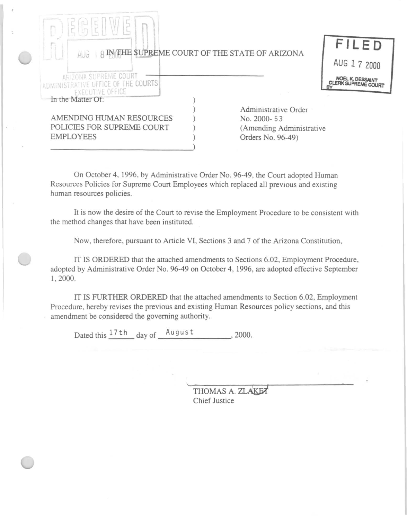| AUG 8 IN THE SUPREME COURT OF THE STATE OF ARIZONA                                      |                                                                                      | <b>FILED</b> |
|-----------------------------------------------------------------------------------------|--------------------------------------------------------------------------------------|--------------|
|                                                                                         |                                                                                      | AUG 1 7 2000 |
| ARIZONA SUPREME COURT<br>ADMINISTRATIVE OFFICE OF THE COURTS<br><b>EXECUTIVE OFFICE</b> |                                                                                      |              |
| In the Matter Of:                                                                       |                                                                                      |              |
| AMENDING HUMAN RESOURCES<br>POLICIES FOR SUPREME COURT<br><b>EMPLOYEES</b>              | Administrative Order<br>No. 2000-53<br>(Amending Administrative<br>Orders No. 96-49) |              |
|                                                                                         |                                                                                      |              |

On October 4, 1996, by Administrative Order No. 96-49, the Court adopted Human Resources Policies for Supreme Court Employees which replaced all previous and existing human resources policies.

It is now the desire of the Court to revise the Employment Procedure to be consistent with the method changes that have been instituted.

Now, therefore, pursuant to Article VI, Sections 3 and 7 of the Arizona Constitution,

IT IS ORDERED that the attached amendments to Sections 6.02, Employment Procedure, adopted by Administrative Order No. 96-49 on October 4, 1996, are adopted effective September 1, 2000.

IT IS FURTHER ORDERED that the attached amendments to Section 6.02, Employment Procedure, hereby revises the previous and existing Human Resources policy sections, and this amendment be considered the governing authority.

Dated this  $\frac{17 \text{ th}}{4}$  day of  $\frac{\text{August}}{\text{August}}$ , 2000.

THOMAS A. ZLAKET Chief Justice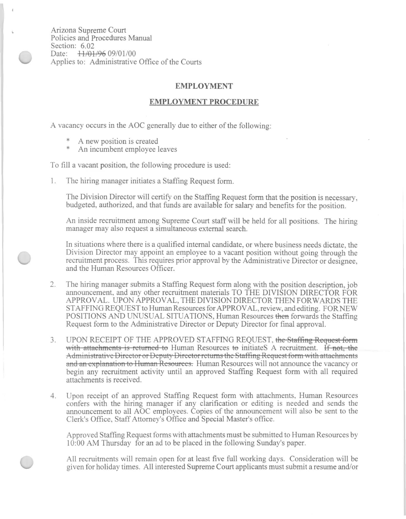Arizona Supreme Court Policies and Procedures Manual Section: 6.02 Date: +++0+++00+09/01/00 Applies to: Administrative Office of the Courts

## **EMPLOYMENT**

## **EMPLOYMENT PROCEDURE**

A vacancy occurs in the AOC generally due to either of the following:

- A new position is created
- An incumbent employee leaves

## To fill a vacant position, the following procedure is used:

1. The hiring manager initiates a Staffing Request form.

The Division Director will certify on the Staffing Request form that the position is necessary, budgeted, authorized, and that funds are available for salary and benefits for the position.

An inside recruitment among Supreme Court staff will be held for all positions. The hiring manager may also request a simultaneous external search.

In situations where there is a qualified internal candidate, or where business needs dictate, the Division Director may appoint an employee to a vacant position without going through the recruitment process. This requires prior approval by the Administrative Director or designee, and the Human Resources Officer.

- The hiring manager submits a Staffing Request form along with the position description, job 2. announcement, and any other recruitment materials TO THE DIVISION DIRECTOR FOR APPROVAL. UPON APPROVAL, THE DIVISION DIRECTOR THEN FORWARDS THE STAFFING REQUEST to Human Resources for APPROVAL, review, and editing. FOR NEW POSITIONS AND UNUSUAL SITUATIONS, Human Resources then forwards the Staffing Request form to the Administrative Director or Deputy Director for final approval.
- UPON RECEIPT OF THE APPROVED STAFFING REQUEST, the Staffing Request form 3. with attachments is returned to Human Resources to initiateS A recruitment. If not, the Administrative Director or Deputy Director returns the Staffing Request form with attachments and an explanation to Human Resources. Human Resources will not announce the vacancy or begin any recruitment activity until an approved Staffing Request form with all required attachments is received.
- Upon receipt of an approved Staffing Request form with attachments, Human Resources 4. confers with the hiring manager if any clarification or editing is needed and sends the announcement to all AOC employees. Copies of the announcement will also be sent to the Clerk's Office, Staff Attorney's Office and Special Master's office.

Approved Staffing Request forms with attachments must be submitted to Human Resources by 10:00 AM Thursday for an ad to be placed in the following Sunday's paper.

All recruitments will remain open for at least five full working days. Consideration will be given for holiday times. All interested Supreme Court applicants must submit a resume and/or